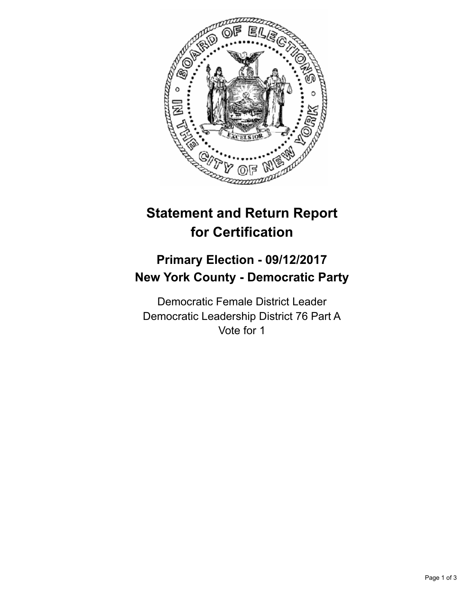

## **Statement and Return Report for Certification**

## **Primary Election - 09/12/2017 New York County - Democratic Party**

Democratic Female District Leader Democratic Leadership District 76 Part A Vote for 1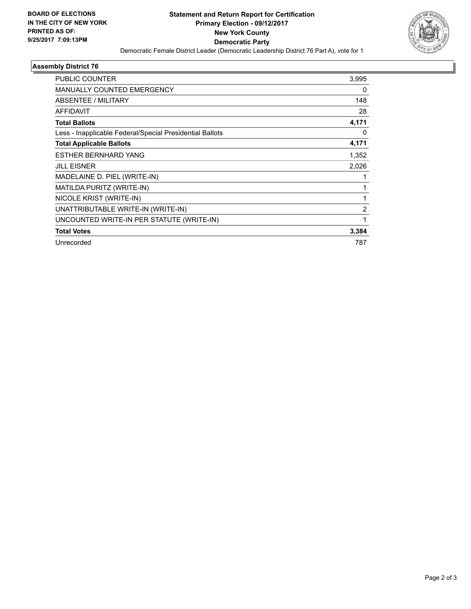

## **Assembly District 76**

| PUBLIC COUNTER                                           | 3,995          |
|----------------------------------------------------------|----------------|
| <b>MANUALLY COUNTED EMERGENCY</b>                        | 0              |
| <b>ABSENTEE / MILITARY</b>                               | 148            |
| <b>AFFIDAVIT</b>                                         | 28             |
| <b>Total Ballots</b>                                     | 4,171          |
| Less - Inapplicable Federal/Special Presidential Ballots | 0              |
| <b>Total Applicable Ballots</b>                          | 4,171          |
| <b>ESTHER BERNHARD YANG</b>                              | 1,352          |
| <b>JILL EISNER</b>                                       | 2,026          |
| MADELAINE D. PIEL (WRITE-IN)                             |                |
| MATILDA PURITZ (WRITE-IN)                                | 1              |
| NICOLE KRIST (WRITE-IN)                                  |                |
| UNATTRIBUTABLE WRITE-IN (WRITE-IN)                       | $\overline{2}$ |
| UNCOUNTED WRITE-IN PER STATUTE (WRITE-IN)                | 1              |
| <b>Total Votes</b>                                       | 3,384          |
| Unrecorded                                               | 787            |